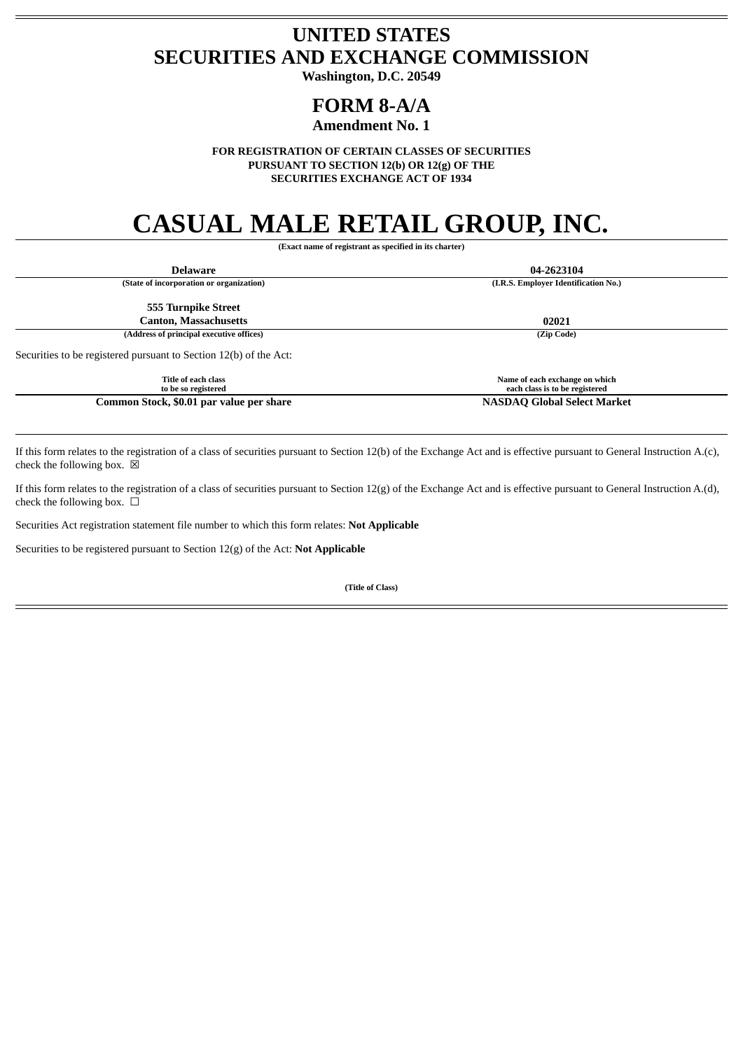## **UNITED STATES SECURITIES AND EXCHANGE COMMISSION**

**Washington, D.C. 20549**

## **FORM 8-A/A**

### **Amendment No. 1**

**FOR REGISTRATION OF CERTAIN CLASSES OF SECURITIES PURSUANT TO SECTION 12(b) OR 12(g) OF THE SECURITIES EXCHANGE ACT OF 1934**

# **CASUAL MALE RETAIL GROUP, INC.**

**(Exact name of registrant as specified in its charter)**

| <b>Delaware</b>                                                   | 04-2623104                                                       |
|-------------------------------------------------------------------|------------------------------------------------------------------|
| (State of incorporation or organization)                          | (I.R.S. Employer Identification No.)                             |
| 555 Turnpike Street                                               |                                                                  |
| <b>Canton, Massachusetts</b>                                      | 02021                                                            |
| (Address of principal executive offices)                          | (Zip Code)                                                       |
| Securities to be registered pursuant to Section 12(b) of the Act: |                                                                  |
| Title of each class<br>to be so registered                        | Name of each exchange on which<br>each class is to be registered |
| Common Stock, \$0.01 par value per share                          | <b>NASDAQ Global Select Market</b>                               |

If this form relates to the registration of a class of securities pursuant to Section 12(b) of the Exchange Act and is effective pursuant to General Instruction A.(c), check the following box.  $\boxtimes$ 

If this form relates to the registration of a class of securities pursuant to Section  $12(g)$  of the Exchange Act and is effective pursuant to General Instruction A.(d), check the following box.  $\Box$ 

Securities Act registration statement file number to which this form relates: **Not Applicable**

Securities to be registered pursuant to Section 12(g) of the Act: **Not Applicable**

**(Title of Class)**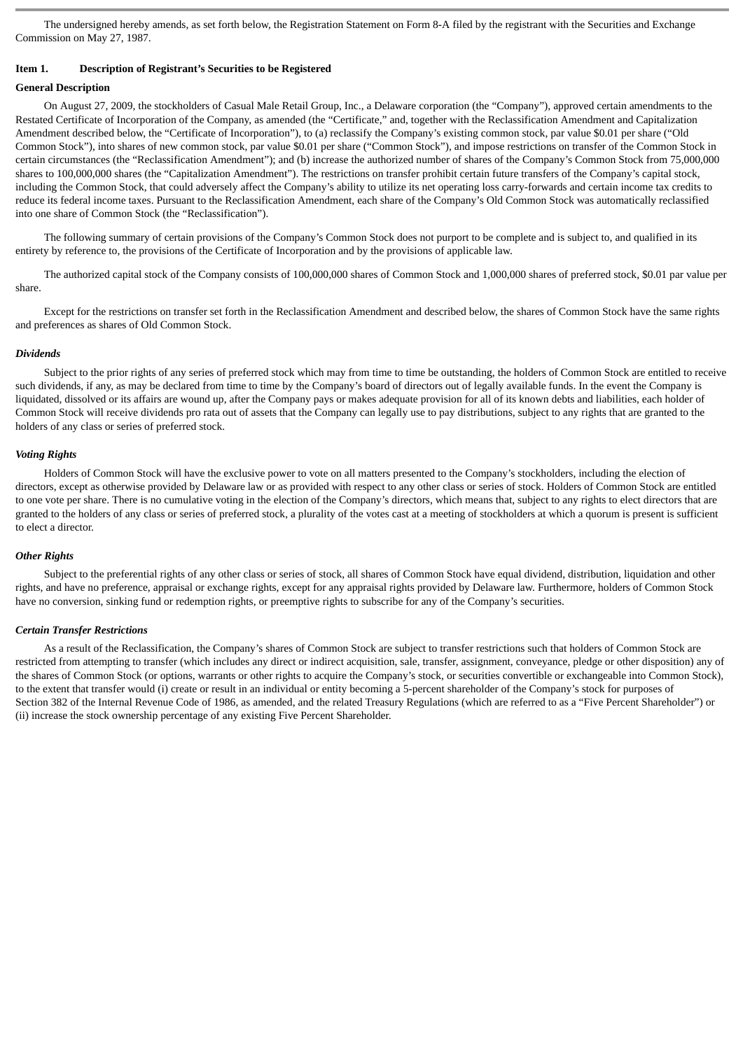The undersigned hereby amends, as set forth below, the Registration Statement on Form 8-A filed by the registrant with the Securities and Exchange Commission on May 27, 1987.

#### **Item 1. Description of Registrant's Securities to be Registered**

#### **General Description**

On August 27, 2009, the stockholders of Casual Male Retail Group, Inc., a Delaware corporation (the "Company"), approved certain amendments to the Restated Certificate of Incorporation of the Company, as amended (the "Certificate," and, together with the Reclassification Amendment and Capitalization Amendment described below, the "Certificate of Incorporation"), to (a) reclassify the Company's existing common stock, par value \$0.01 per share ("Old Common Stock"), into shares of new common stock, par value \$0.01 per share ("Common Stock"), and impose restrictions on transfer of the Common Stock in certain circumstances (the "Reclassification Amendment"); and (b) increase the authorized number of shares of the Company's Common Stock from 75,000,000 shares to 100,000,000 shares (the "Capitalization Amendment"). The restrictions on transfer prohibit certain future transfers of the Company's capital stock, including the Common Stock, that could adversely affect the Company's ability to utilize its net operating loss carry-forwards and certain income tax credits to reduce its federal income taxes. Pursuant to the Reclassification Amendment, each share of the Company's Old Common Stock was automatically reclassified into one share of Common Stock (the "Reclassification").

The following summary of certain provisions of the Company's Common Stock does not purport to be complete and is subject to, and qualified in its entirety by reference to, the provisions of the Certificate of Incorporation and by the provisions of applicable law.

The authorized capital stock of the Company consists of 100,000,000 shares of Common Stock and 1,000,000 shares of preferred stock, \$0.01 par value per share.

Except for the restrictions on transfer set forth in the Reclassification Amendment and described below, the shares of Common Stock have the same rights and preferences as shares of Old Common Stock.

#### *Dividends*

Subject to the prior rights of any series of preferred stock which may from time to time be outstanding, the holders of Common Stock are entitled to receive such dividends, if any, as may be declared from time to time by the Company's board of directors out of legally available funds. In the event the Company is liquidated, dissolved or its affairs are wound up, after the Company pays or makes adequate provision for all of its known debts and liabilities, each holder of Common Stock will receive dividends pro rata out of assets that the Company can legally use to pay distributions, subject to any rights that are granted to the holders of any class or series of preferred stock.

#### *Voting Rights*

Holders of Common Stock will have the exclusive power to vote on all matters presented to the Company's stockholders, including the election of directors, except as otherwise provided by Delaware law or as provided with respect to any other class or series of stock. Holders of Common Stock are entitled to one vote per share. There is no cumulative voting in the election of the Company's directors, which means that, subject to any rights to elect directors that are granted to the holders of any class or series of preferred stock, a plurality of the votes cast at a meeting of stockholders at which a quorum is present is sufficient to elect a director.

#### *Other Rights*

Subject to the preferential rights of any other class or series of stock, all shares of Common Stock have equal dividend, distribution, liquidation and other rights, and have no preference, appraisal or exchange rights, except for any appraisal rights provided by Delaware law. Furthermore, holders of Common Stock have no conversion, sinking fund or redemption rights, or preemptive rights to subscribe for any of the Company's securities.

#### *Certain Transfer Restrictions*

As a result of the Reclassification, the Company's shares of Common Stock are subject to transfer restrictions such that holders of Common Stock are restricted from attempting to transfer (which includes any direct or indirect acquisition, sale, transfer, assignment, conveyance, pledge or other disposition) any of the shares of Common Stock (or options, warrants or other rights to acquire the Company's stock, or securities convertible or exchangeable into Common Stock), to the extent that transfer would (i) create or result in an individual or entity becoming a 5-percent shareholder of the Company's stock for purposes of Section 382 of the Internal Revenue Code of 1986, as amended, and the related Treasury Regulations (which are referred to as a "Five Percent Shareholder") or (ii) increase the stock ownership percentage of any existing Five Percent Shareholder.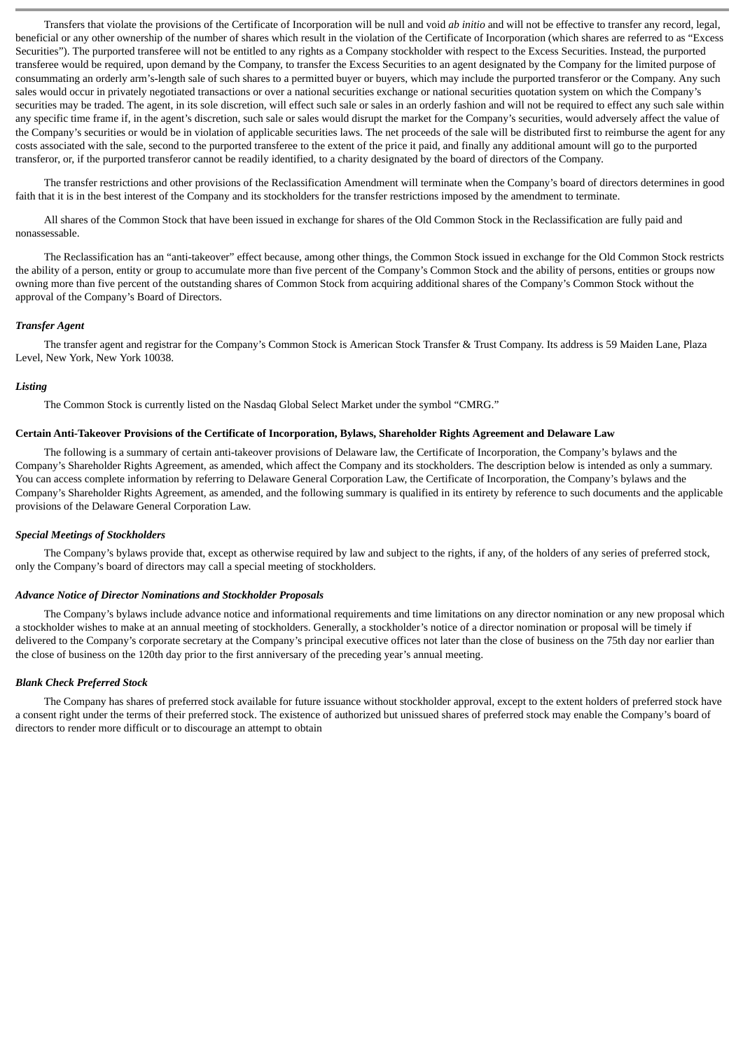Transfers that violate the provisions of the Certificate of Incorporation will be null and void *ab initio* and will not be effective to transfer any record, legal, beneficial or any other ownership of the number of shares which result in the violation of the Certificate of Incorporation (which shares are referred to as "Excess Securities"). The purported transferee will not be entitled to any rights as a Company stockholder with respect to the Excess Securities. Instead, the purported transferee would be required, upon demand by the Company, to transfer the Excess Securities to an agent designated by the Company for the limited purpose of consummating an orderly arm's-length sale of such shares to a permitted buyer or buyers, which may include the purported transferor or the Company. Any such sales would occur in privately negotiated transactions or over a national securities exchange or national securities quotation system on which the Company's securities may be traded. The agent, in its sole discretion, will effect such sale or sales in an orderly fashion and will not be required to effect any such sale within any specific time frame if, in the agent's discretion, such sale or sales would disrupt the market for the Company's securities, would adversely affect the value of the Company's securities or would be in violation of applicable securities laws. The net proceeds of the sale will be distributed first to reimburse the agent for any costs associated with the sale, second to the purported transferee to the extent of the price it paid, and finally any additional amount will go to the purported transferor, or, if the purported transferor cannot be readily identified, to a charity designated by the board of directors of the Company.

The transfer restrictions and other provisions of the Reclassification Amendment will terminate when the Company's board of directors determines in good faith that it is in the best interest of the Company and its stockholders for the transfer restrictions imposed by the amendment to terminate.

All shares of the Common Stock that have been issued in exchange for shares of the Old Common Stock in the Reclassification are fully paid and nonassessable.

The Reclassification has an "anti-takeover" effect because, among other things, the Common Stock issued in exchange for the Old Common Stock restricts the ability of a person, entity or group to accumulate more than five percent of the Company's Common Stock and the ability of persons, entities or groups now owning more than five percent of the outstanding shares of Common Stock from acquiring additional shares of the Company's Common Stock without the approval of the Company's Board of Directors.

#### *Transfer Agent*

The transfer agent and registrar for the Company's Common Stock is American Stock Transfer & Trust Company. Its address is 59 Maiden Lane, Plaza Level, New York, New York 10038.

#### *Listing*

The Common Stock is currently listed on the Nasdaq Global Select Market under the symbol "CMRG."

#### **Certain Anti-Takeover Provisions of the Certificate of Incorporation, Bylaws, Shareholder Rights Agreement and Delaware Law**

The following is a summary of certain anti-takeover provisions of Delaware law, the Certificate of Incorporation, the Company's bylaws and the Company's Shareholder Rights Agreement, as amended, which affect the Company and its stockholders. The description below is intended as only a summary. You can access complete information by referring to Delaware General Corporation Law, the Certificate of Incorporation, the Company's bylaws and the Company's Shareholder Rights Agreement, as amended, and the following summary is qualified in its entirety by reference to such documents and the applicable provisions of the Delaware General Corporation Law.

#### *Special Meetings of Stockholders*

The Company's bylaws provide that, except as otherwise required by law and subject to the rights, if any, of the holders of any series of preferred stock, only the Company's board of directors may call a special meeting of stockholders.

#### *Advance Notice of Director Nominations and Stockholder Proposals*

The Company's bylaws include advance notice and informational requirements and time limitations on any director nomination or any new proposal which a stockholder wishes to make at an annual meeting of stockholders. Generally, a stockholder's notice of a director nomination or proposal will be timely if delivered to the Company's corporate secretary at the Company's principal executive offices not later than the close of business on the 75th day nor earlier than the close of business on the 120th day prior to the first anniversary of the preceding year's annual meeting.

#### *Blank Check Preferred Stock*

The Company has shares of preferred stock available for future issuance without stockholder approval, except to the extent holders of preferred stock have a consent right under the terms of their preferred stock. The existence of authorized but unissued shares of preferred stock may enable the Company's board of directors to render more difficult or to discourage an attempt to obtain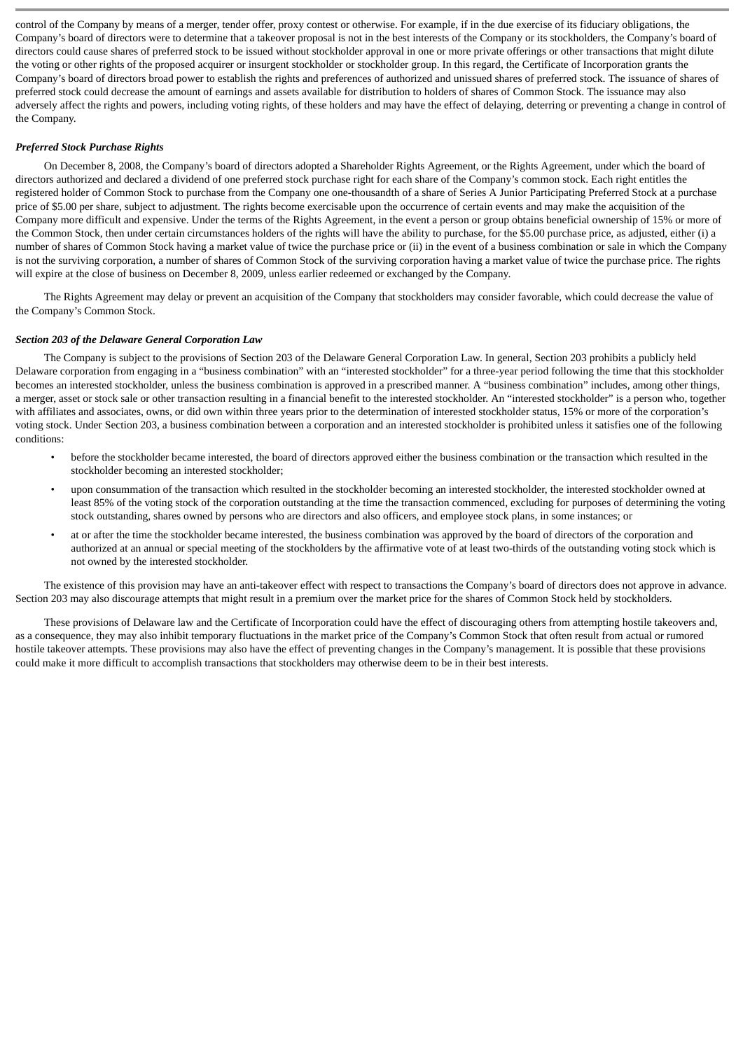control of the Company by means of a merger, tender offer, proxy contest or otherwise. For example, if in the due exercise of its fiduciary obligations, the Company's board of directors were to determine that a takeover proposal is not in the best interests of the Company or its stockholders, the Company's board of directors could cause shares of preferred stock to be issued without stockholder approval in one or more private offerings or other transactions that might dilute the voting or other rights of the proposed acquirer or insurgent stockholder or stockholder group. In this regard, the Certificate of Incorporation grants the Company's board of directors broad power to establish the rights and preferences of authorized and unissued shares of preferred stock. The issuance of shares of preferred stock could decrease the amount of earnings and assets available for distribution to holders of shares of Common Stock. The issuance may also adversely affect the rights and powers, including voting rights, of these holders and may have the effect of delaying, deterring or preventing a change in control of the Company.

#### *Preferred Stock Purchase Rights*

On December 8, 2008, the Company's board of directors adopted a Shareholder Rights Agreement, or the Rights Agreement, under which the board of directors authorized and declared a dividend of one preferred stock purchase right for each share of the Company's common stock. Each right entitles the registered holder of Common Stock to purchase from the Company one one-thousandth of a share of Series A Junior Participating Preferred Stock at a purchase price of \$5.00 per share, subject to adjustment. The rights become exercisable upon the occurrence of certain events and may make the acquisition of the Company more difficult and expensive. Under the terms of the Rights Agreement, in the event a person or group obtains beneficial ownership of 15% or more of the Common Stock, then under certain circumstances holders of the rights will have the ability to purchase, for the \$5.00 purchase price, as adjusted, either (i) a number of shares of Common Stock having a market value of twice the purchase price or (ii) in the event of a business combination or sale in which the Company is not the surviving corporation, a number of shares of Common Stock of the surviving corporation having a market value of twice the purchase price. The rights will expire at the close of business on December 8, 2009, unless earlier redeemed or exchanged by the Company.

The Rights Agreement may delay or prevent an acquisition of the Company that stockholders may consider favorable, which could decrease the value of the Company's Common Stock.

#### *Section 203 of the Delaware General Corporation Law*

The Company is subject to the provisions of Section 203 of the Delaware General Corporation Law. In general, Section 203 prohibits a publicly held Delaware corporation from engaging in a "business combination" with an "interested stockholder" for a three-year period following the time that this stockholder becomes an interested stockholder, unless the business combination is approved in a prescribed manner. A "business combination" includes, among other things, a merger, asset or stock sale or other transaction resulting in a financial benefit to the interested stockholder. An "interested stockholder" is a person who, together with affiliates and associates, owns, or did own within three years prior to the determination of interested stockholder status, 15% or more of the corporation's voting stock. Under Section 203, a business combination between a corporation and an interested stockholder is prohibited unless it satisfies one of the following conditions:

- before the stockholder became interested, the board of directors approved either the business combination or the transaction which resulted in the stockholder becoming an interested stockholder;
- upon consummation of the transaction which resulted in the stockholder becoming an interested stockholder, the interested stockholder owned at least 85% of the voting stock of the corporation outstanding at the time the transaction commenced, excluding for purposes of determining the voting stock outstanding, shares owned by persons who are directors and also officers, and employee stock plans, in some instances; or
- at or after the time the stockholder became interested, the business combination was approved by the board of directors of the corporation and authorized at an annual or special meeting of the stockholders by the affirmative vote of at least two-thirds of the outstanding voting stock which is not owned by the interested stockholder.

The existence of this provision may have an anti-takeover effect with respect to transactions the Company's board of directors does not approve in advance. Section 203 may also discourage attempts that might result in a premium over the market price for the shares of Common Stock held by stockholders.

These provisions of Delaware law and the Certificate of Incorporation could have the effect of discouraging others from attempting hostile takeovers and, as a consequence, they may also inhibit temporary fluctuations in the market price of the Company's Common Stock that often result from actual or rumored hostile takeover attempts. These provisions may also have the effect of preventing changes in the Company's management. It is possible that these provisions could make it more difficult to accomplish transactions that stockholders may otherwise deem to be in their best interests.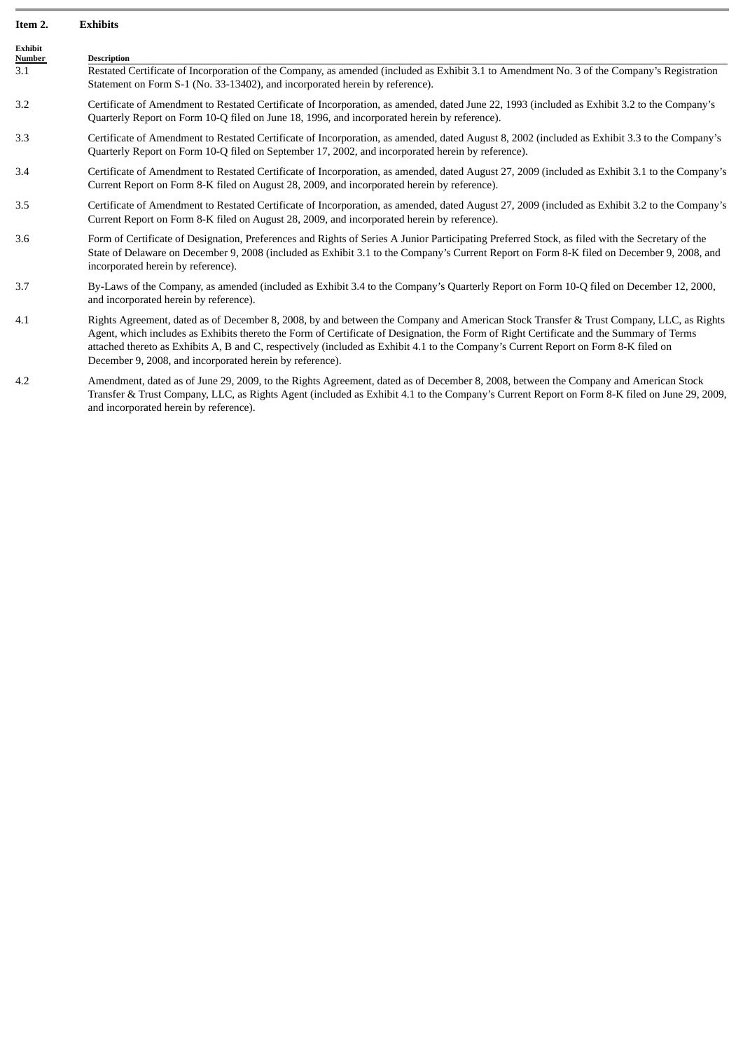#### **Item 2. Exhibits**

| <b>Exhibit</b><br><b>Number</b> | <b>Description</b>                                                                                                                                                                                                                                                                                                                                                                                                                                                                    |
|---------------------------------|---------------------------------------------------------------------------------------------------------------------------------------------------------------------------------------------------------------------------------------------------------------------------------------------------------------------------------------------------------------------------------------------------------------------------------------------------------------------------------------|
| 3.1                             | Restated Certificate of Incorporation of the Company, as amended (included as Exhibit 3.1 to Amendment No. 3 of the Company's Registration<br>Statement on Form S-1 (No. 33-13402), and incorporated herein by reference).                                                                                                                                                                                                                                                            |
| 3.2                             | Certificate of Amendment to Restated Certificate of Incorporation, as amended, dated June 22, 1993 (included as Exhibit 3.2 to the Company's<br>Quarterly Report on Form 10-Q filed on June 18, 1996, and incorporated herein by reference).                                                                                                                                                                                                                                          |
| 3.3                             | Certificate of Amendment to Restated Certificate of Incorporation, as amended, dated August 8, 2002 (included as Exhibit 3.3 to the Company's<br>Quarterly Report on Form 10-Q filed on September 17, 2002, and incorporated herein by reference).                                                                                                                                                                                                                                    |
| 3.4                             | Certificate of Amendment to Restated Certificate of Incorporation, as amended, dated August 27, 2009 (included as Exhibit 3.1 to the Company's<br>Current Report on Form 8-K filed on August 28, 2009, and incorporated herein by reference).                                                                                                                                                                                                                                         |
| 3.5                             | Certificate of Amendment to Restated Certificate of Incorporation, as amended, dated August 27, 2009 (included as Exhibit 3.2 to the Company's<br>Current Report on Form 8-K filed on August 28, 2009, and incorporated herein by reference).                                                                                                                                                                                                                                         |
| 3.6                             | Form of Certificate of Designation, Preferences and Rights of Series A Junior Participating Preferred Stock, as filed with the Secretary of the<br>State of Delaware on December 9, 2008 (included as Exhibit 3.1 to the Company's Current Report on Form 8-K filed on December 9, 2008, and<br>incorporated herein by reference).                                                                                                                                                    |
| 3.7                             | By-Laws of the Company, as amended (included as Exhibit 3.4 to the Company's Quarterly Report on Form 10-Q filed on December 12, 2000,<br>and incorporated herein by reference).                                                                                                                                                                                                                                                                                                      |
| 4.1                             | Rights Agreement, dated as of December 8, 2008, by and between the Company and American Stock Transfer & Trust Company, LLC, as Rights<br>Agent, which includes as Exhibits thereto the Form of Certificate of Designation, the Form of Right Certificate and the Summary of Terms<br>attached thereto as Exhibits A, B and C, respectively (included as Exhibit 4.1 to the Company's Current Report on Form 8-K filed on<br>December 9, 2008, and incorporated herein by reference). |

4.2 Amendment, dated as of June 29, 2009, to the Rights Agreement, dated as of December 8, 2008, between the Company and American Stock Transfer & Trust Company, LLC, as Rights Agent (included as Exhibit 4.1 to the Company's Current Report on Form 8-K filed on June 29, 2009, and incorporated herein by reference).